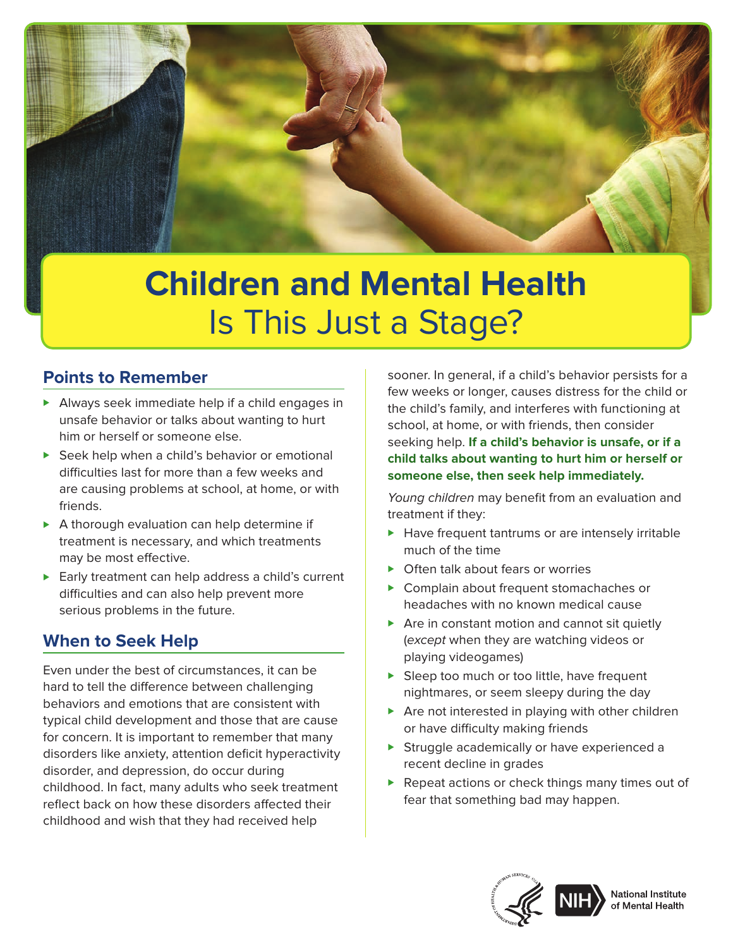

# **Children and Mental Health** Is This Just a Stage?

## **Points to Remember**

- ► Always seek immediate help if a child engages in unsafe behavior or talks about wanting to hurt him or herself or someone else.
- ► Seek help when a child's behavior or emotional difficulties last for more than a few weeks and are causing problems at school, at home, or with friends.
- ► A thorough evaluation can help determine if treatment is necessary, and which treatments may be most effective.
- ► Early treatment can help address a child's current difficulties and can also help prevent more serious problems in the future.

## **When to Seek Help**

Even under the best of circumstances, it can be hard to tell the difference between challenging behaviors and emotions that are consistent with typical child development and those that are cause for concern. It is important to remember that many disorders like anxiety, attention deficit hyperactivity disorder, and depression, do occur during childhood. In fact, many adults who seek treatment reflect back on how these disorders affected their childhood and wish that they had received help

sooner. In general, if a child's behavior persists for a few weeks or longer, causes distress for the child or the child's family, and interferes with functioning at school, at home, or with friends, then consider seeking help. **If a child's behavior is unsafe, or if a child talks about wanting to hurt him or herself or someone else, then seek help immediately.**

Young children may benefit from an evaluation and treatment if they:

- ▶ Have frequent tantrums or are intensely irritable much of the time
- ⊲ Often talk about fears or worries
- ► Complain about frequent stomachaches or headaches with no known medical cause
- ► Are in constant motion and cannot sit quietly (except when they are watching videos or playing videogames)
- ► Sleep too much or too little, have frequent nightmares, or seem sleepy during the day
- ▶ Are not interested in playing with other children or have difficulty making friends
- ▶ Struggle academically or have experienced a recent decline in grades
- ▶ Repeat actions or check things many times out of fear that something bad may happen.

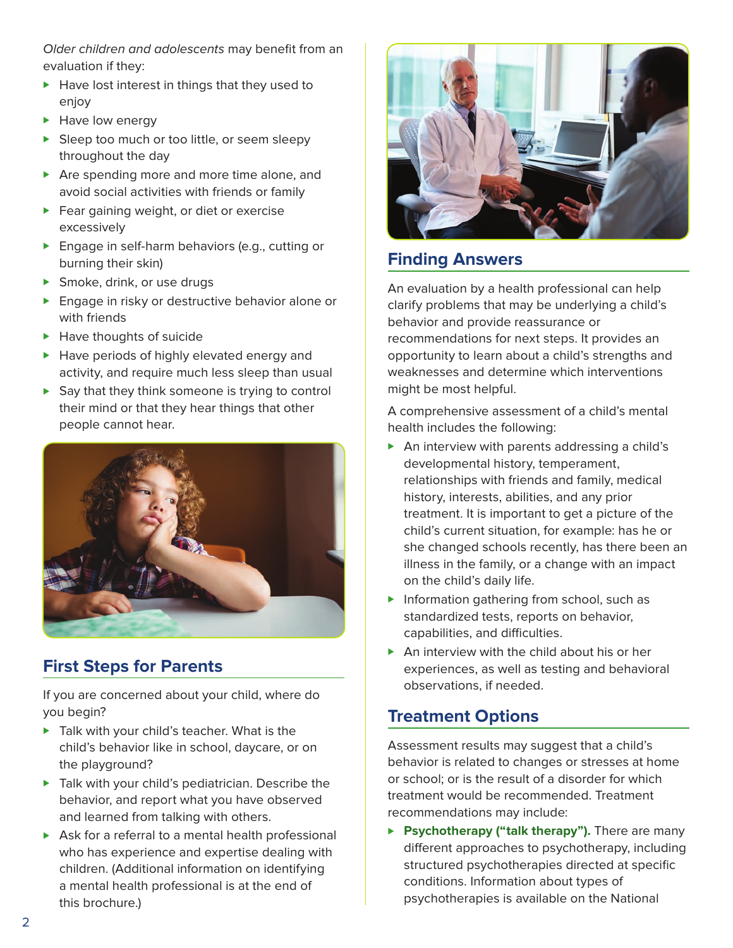Older children and adolescents may benefit from an evaluation if they:

- ► Have lost interest in things that they used to enjoy
- ► Have low energy
- ► Sleep too much or too little, or seem sleepy throughout the day
- ► Are spending more and more time alone, and avoid social activities with friends or family
- ▶ Fear gaining weight, or diet or exercise excessively
- ► Engage in self-harm behaviors (e.g., cutting or burning their skin)
- ▶ Smoke, drink, or use drugs
- ► Engage in risky or destructive behavior alone or with friends
- ► Have thoughts of suicide
- ► Have periods of highly elevated energy and activity, and require much less sleep than usual
- ► Say that they think someone is trying to control their mind or that they hear things that other people cannot hear.



## **First Steps for Parents**

If you are concerned about your child, where do you begin?

- ▶ Talk with your child's teacher. What is the child's behavior like in school, daycare, or on the playground?
- ▶ Talk with your child's pediatrician. Describe the behavior, and report what you have observed and learned from talking with others.
- ► Ask for a referral to a mental health professional who has experience and expertise dealing with children. (Additional information on identifying a mental health professional is at the end of this brochure.)



## **Finding Answers**

An evaluation by a health professional can help clarify problems that may be underlying a child's behavior and provide reassurance or recommendations for next steps. It provides an opportunity to learn about a child's strengths and weaknesses and determine which interventions might be most helpful.

A comprehensive assessment of a child's mental health includes the following:

- ► An interview with parents addressing a child's developmental history, temperament, relationships with friends and family, medical history, interests, abilities, and any prior treatment. It is important to get a picture of the child's current situation, for example: has he or she changed schools recently, has there been an illness in the family, or a change with an impact on the child's daily life.
- ► Information gathering from school, such as standardized tests, reports on behavior, capabilities, and difficulties.
- ▶ An interview with the child about his or her experiences, as well as testing and behavioral observations, if needed.

## **Treatment Options**

Assessment results may suggest that a child's behavior is related to changes or stresses at home or school; or is the result of a disorder for which treatment would be recommended. Treatment recommendations may include:

▶ Psychotherapy ("talk therapy"). There are many different approaches to psychotherapy, including structured psychotherapies directed at specific conditions. Information about types of psychotherapies is available on the National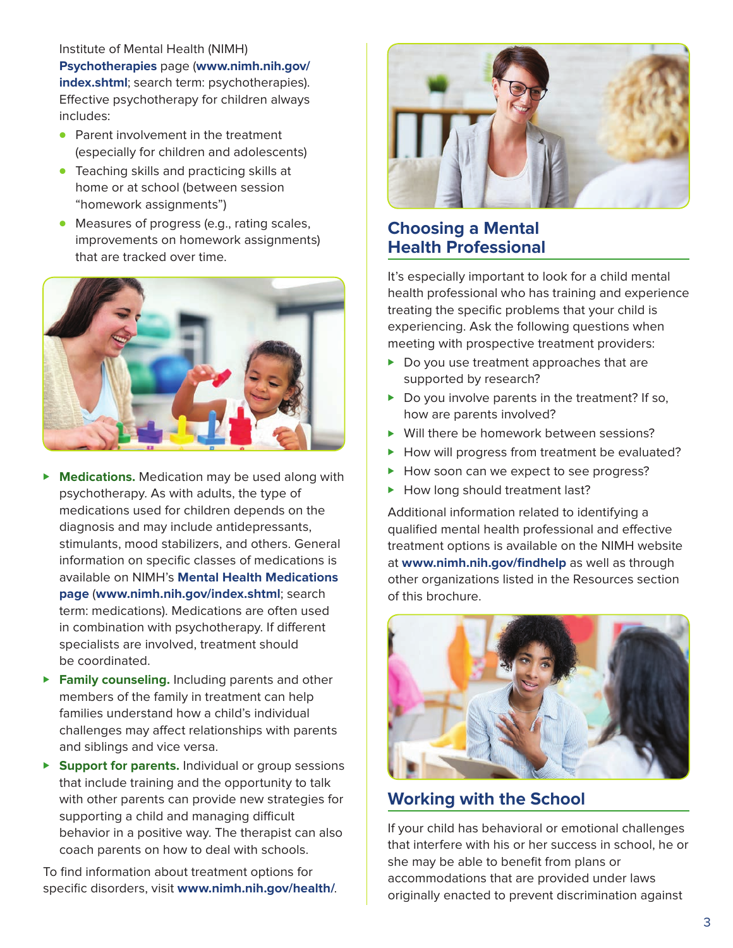Institute of Mental Health (NIMH) **[Psychotherapies](https://www.nimh.nih.gov/health/topics/psychotherapies/index.shtml)** page (**www.nimh.nih.gov/ index.shtml**; search term: psychotherapies). Effective psychotherapy for children always includes:

- Parent involvement in the treatment (especially for children and adolescents)
- Teaching skills and practicing skills at home or at school (between session "homework assignments")
- Measures of progress (e.g., rating scales, improvements on homework assignments) that are tracked over time.



- ► **Medications.** Medication may be used along with psychotherapy. As with adults, the type of medications used for children depends on the diagnosis and may include antidepressants, stimulants, mood stabilizers, and others. General information on specific classes of medications is available on NIMH's **[Mental Health Medications](https://www.nimh.nih.gov/health/topics/mental-health-medications/index.shtml)  [page](https://www.nimh.nih.gov/health/topics/mental-health-medications/index.shtml)** (**www.nimh.nih.gov/index.shtml**; search term: medications). Medications are often used in combination with psychotherapy. If different specialists are involved, treatment should be coordinated.
- ► **Family counseling.** Including parents and other members of the family in treatment can help families understand how a child's individual challenges may affect relationships with parents and siblings and vice versa.
- ⊲ **Support for parents.** Individual or group sessions that include training and the opportunity to talk with other parents can provide new strategies for supporting a child and managing difficult behavior in a positive way. The therapist can also coach parents on how to deal with schools.

To find information about treatment options for specific disorders, visit **[www.nimh.nih.gov/health/](https://www.nimh.nih.gov/health/)**.



## **Choosing a Mental Health Professional**

It's especially important to look for a child mental health professional who has training and experience treating the specific problems that your child is experiencing. Ask the following questions when meeting with prospective treatment providers:

- ► Do you use treatment approaches that are supported by research?
- ▶ Do you involve parents in the treatment? If so, how are parents involved?
- ► Will there be homework between sessions?
- ► How will progress from treatment be evaluated?
- ► How soon can we expect to see progress?
- ► How long should treatment last?

Additional information related to identifying a qualified mental health professional and effective treatment options is available on the NIMH website at **[www.nimh.nih.gov/findhelp](http://www.nimh.nih.gov/findhelp)** as well as through other organizations listed in the Resources section of this brochure.



## **Working with the School**

If your child has behavioral or emotional challenges that interfere with his or her success in school, he or she may be able to benefit from plans or accommodations that are provided under laws originally enacted to prevent discrimination against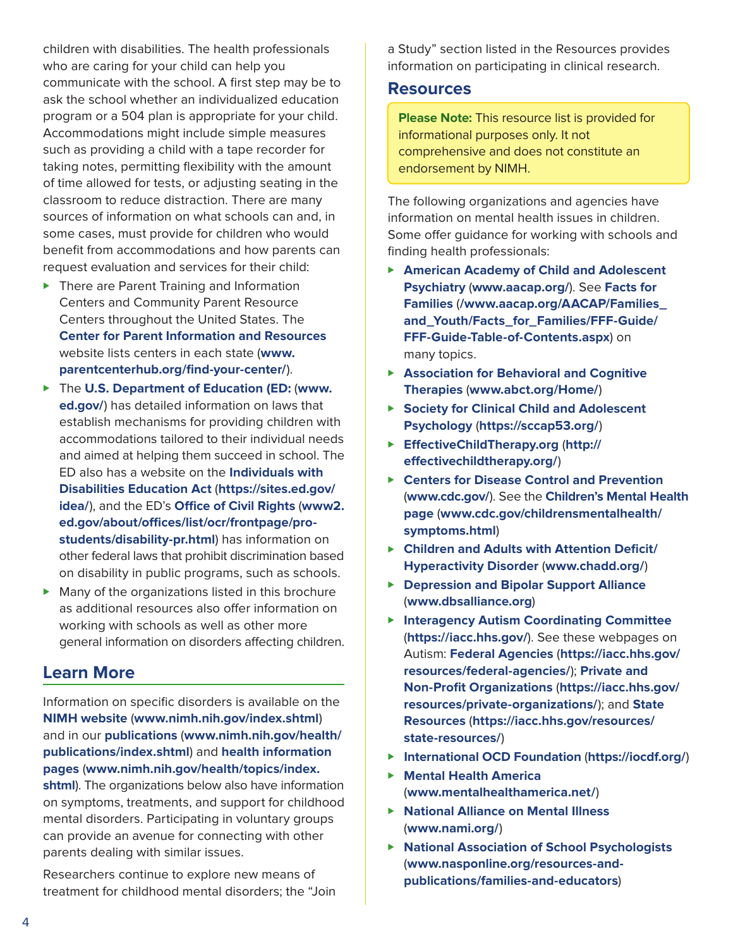children with disabilities. The health professionals who are caring for your child can help you communicate with the school. A first step may be to ask the school whether an individualized education program or a 504 plan is appropriate for your child. Accommodations might include simple measures such as providing a child with a tape recorder for taking notes, permitting flexibility with the amount of time allowed for tests, or adjusting seating in the classroom to reduce distraction. There are many sources of information on what schools can and, in some cases, must provide for children who would benefit from accommodations and how parents can request evaluation and services for their child:

- ▶ There are Parent Training and Information Centers and Community Parent Resource Centers throughout the United States. The **[Center for Parent Information and Resources](http://www.parentcenterhub.org/find-your-center/)** website lists centers in each state (**www. parentcenterhub.org/find-your-center/**).
- ⊲ The **[U.S. Department of Education](https://www.ed.gov/) (ED:** (**www. ed.gov/**) has detailed information on laws that establish mechanisms for providing children with accommodations tailored to their individual needs and aimed at helping them succeed in school. The ED also has a website on the **[Individuals with](https://sites.ed.gov/idea/)  [Disabilities Education Act](https://sites.ed.gov/idea/)** (**https://sites.ed.gov/ idea/**), and the ED's **[Office of Civil Rights](https://www2.ed.gov/about/offices/list/ocr/frontpage/pro-students/disability-pr.html)** (**www2. ed.gov/about/offices/list/ocr/frontpage/prostudents/disability-pr.html**) has information on other federal laws that prohibit discrimination based on disability in public programs, such as schools.
- ► Many of the organizations listed in this brochure as additional resources also offer information on working with schools as well as other more general information on disorders affecting children.

### **Learn More**

Information on specific disorders is available on the **[NIMH website](https://www.nimh.nih.gov/index.shtml)** (**www.nimh.nih.gov/index.shtml**) and in our **[publications](https://www.nimh.nih.gov/health/publications/index.shtml)** (**www.nimh.nih.gov/health/ publications/index.shtml**) and **[health information](https://www.nimh.nih.gov/health/topics/index.shtml)  [pages](https://www.nimh.nih.gov/health/topics/index.shtml)** (**www.nimh.nih.gov/health/topics/index.** shtml). The organizations below also have information on symptoms, treatments, and support for childhood mental disorders. Participating in voluntary groups can provide an avenue for connecting with other parents dealing with similar issues.

Researchers continue to explore new means of treatment for childhood mental disorders; the "Join a Study" section listed in the Resources provides information on participating in clinical research.

#### **Resources**

**Please Note:** This resource list is provided for informational purposes only. It not comprehensive and does not constitute an endorsement by NIMH.

The following organizations and agencies have information on mental health issues in children. Some offer guidance for working with schools and finding health professionals:

- ⊲ **[American Academy of Child and Adolescent](https://www.aacap.org)  [Psychiatry](https://www.aacap.org)** (**www.aacap.org/**). See **[Facts for](https://www.aacap.org/AACAP/Families_and_Youth/Facts_for_Families/FFF-Guide/FFF-Guide-Table-of-Contents.aspx)  [Families](https://www.aacap.org/AACAP/Families_and_Youth/Facts_for_Families/FFF-Guide/FFF-Guide-Table-of-Contents.aspx)** (**/www.aacap.org/AACAP/Families\_ and\_Youth/Facts\_for\_Families/FFF-Guide/ FFF-Guide-Table-of-Contents.aspx**) on many topics.
- ⊲ **[Association for Behavioral and Cognitive](http://www.abct.org/Home/)  [Therapies](http://www.abct.org/Home/)** (**www.abct.org/Home/**)
- ⊲ **[Society for Clinical Child and Adolescent](https://sccap53.org/)  [Psychology](https://sccap53.org/)** (**https://sccap53.org/**)
- ⊲ **[EffectiveChildTherapy.org](http://effectivechildtherapy.org/)** (**http:// effectivechildtherapy.org/**)
- ⊲ **[Centers for Disease Control and Prevention](https://www.cdc.gov/)** (**www.cdc.gov/**). See the **[Children's Mental Health](https://www.cdc.gov/childrensmentalhealth/symptoms.html) [page](https://www.cdc.gov/childrensmentalhealth/symptoms.html)** (**www.cdc.gov/childrensmentalhealth/ symptoms.html**)
- ⊲ **[Children and Adults with Attention Deficit/](http://www.chadd.org/) [Hyperactivity Disorde](http://www.chadd.org/)r** (**www.chadd.org/**)
- ⊲ **[Depression and Bipolar Support Alliance](http://www.dbsalliance.org)**  (**www.dbsalliance.org**)
- ⊲ **[Interagency Autism Coordinating Committee](https://iacc.hhs.gov/)**  (**https://iacc.hhs.gov/**). See these webpages on Autism: **[Federal Agencies](https://iacc.hhs.gov/resources/federal-agencies/)** (**https://iacc.hhs.gov/ resources/federal-agencies/**); **[Private and](https://iacc.hhs.gov/resources/private-organizations/)  [Non-Profit Organizations](https://iacc.hhs.gov/resources/private-organizations/)** (**https://iacc.hhs.gov/ resources/private-organizations/**); and **[State](https://iacc.hhs.gov/resources/state-resources/)  [Resources](https://iacc.hhs.gov/resources/state-resources/)** (**https://iacc.hhs.gov/resources/ state-resources/**)
- ⊲ **[International OCD Foundation](https://iocdf.org/)** (**https://iocdf.org/**)
- ⊲ **[Mental Health America](http://www.mentalhealthamerica.net/)** (**www.mentalhealthamerica.net/**)
- ⊲ **[National Alliance on Mental Illness](https://www.nami.org/)** (**www.nami.org/**)
- ⊲ **[National Association of School Psychologists](http://www.nasponline.org/resources-and-publications/families-and-educators)** (**www.nasponline.org/resources-andpublications/families-and-educators**)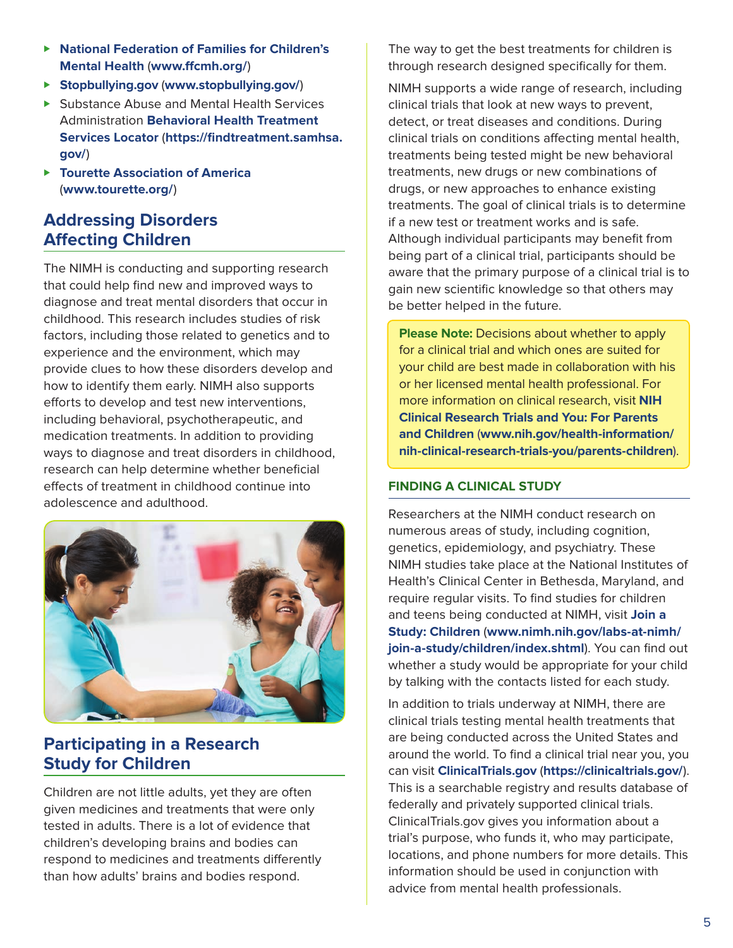- ⊲ **[National Federation of Families for Children's](https://www.ffcmh.org/)  [Mental Health](https://www.ffcmh.org/)** (**www.ffcmh.org/**)
- ⊲ **[Stopbullying.gov](https://www.stopbullying.gov/)** (**www.stopbullying.gov/**)
- ► Substance Abuse and Mental Health Services Administration **[Behavioral Health Treatment](https://findtreatment.samhsa.gov/)  [Services Locator](https://findtreatment.samhsa.gov/)** (**https://findtreatment.samhsa. gov/**)
- ⊲ **[Tourette Association of America](https://www.tourette.org/)** (**www.tourette.org/**)

## **Addressing Disorders Affecting Children**

The NIMH is conducting and supporting research that could help find new and improved ways to diagnose and treat mental disorders that occur in childhood. This research includes studies of risk factors, including those related to genetics and to experience and the environment, which may provide clues to how these disorders develop and how to identify them early. NIMH also supports efforts to develop and test new interventions, including behavioral, psychotherapeutic, and medication treatments. In addition to providing ways to diagnose and treat disorders in childhood, research can help determine whether beneficial effects of treatment in childhood continue into adolescence and adulthood.



## **Participating in a Research Study for Children**

Children are not little adults, yet they are often given medicines and treatments that were only tested in adults. There is a lot of evidence that children's developing brains and bodies can respond to medicines and treatments differently than how adults' brains and bodies respond.

The way to get the best treatments for children is through research designed specifically for them.

NIMH supports a wide range of research, including clinical trials that look at new ways to prevent, detect, or treat diseases and conditions. During clinical trials on conditions affecting mental health, treatments being tested might be new behavioral treatments, new drugs or new combinations of drugs, or new approaches to enhance existing treatments. The goal of clinical trials is to determine if a new test or treatment works and is safe. Although individual participants may benefit from being part of a clinical trial, participants should be aware that the primary purpose of a clinical trial is to gain new scientific knowledge so that others may be better helped in the future.

**Please Note:** Decisions about whether to apply for a clinical trial and which ones are suited for your child are best made in collaboration with his or her licensed mental health professional. For more information on clinical research, visit **[NIH](http://www.nih.gov/health-information/nih-clinical-research-trials-you/parents-children)  [Clinical Research Trials and You: For Parents](http://www.nih.gov/health-information/nih-clinical-research-trials-you/parents-children)  [and Children](http://www.nih.gov/health-information/nih-clinical-research-trials-you/parents-children)** (**www.nih.gov/health-information/ nih-clinical-research-trials-you/parents-children**).

#### **FINDING A CLINICAL STUDY**

Researchers at the NIMH conduct research on numerous areas of study, including cognition, genetics, epidemiology, and psychiatry. These NIMH studies take place at the National Institutes of Health's Clinical Center in Bethesda, Maryland, and require regular visits. To find studies for children and teens being conducted at NIMH, visit **[Join a](http://www.nimh.nih.gov/labs-at-nimh/join-a-study/children/index.shtml)  [Study: Children](http://www.nimh.nih.gov/labs-at-nimh/join-a-study/children/index.shtml)** (**[www.nimh.nih.gov/labs-at-nimh/](https://www.nimh.nih.gov/labs-at-nimh/join-a-study/children/index.shtml) [join-a-study/children/index.shtml](https://www.nimh.nih.gov/labs-at-nimh/join-a-study/children/index.shtml)**). You can find out whether a study would be appropriate for your child by talking with the contacts listed for each study.

In addition to trials underway at NIMH, there are clinical trials testing mental health treatments that are being conducted across the United States and around the world. To find a clinical trial near you, you can visit **[ClinicalTrials.gov](http://www.clinicaltrials.gov/)** (**<https://clinicaltrials.gov/>**). This is a searchable registry and results database of federally and privately supported clinical trials. ClinicalTrials.gov gives you information about a trial's purpose, who funds it, who may participate, locations, and phone numbers for more details. This information should be used in conjunction with advice from mental health professionals.